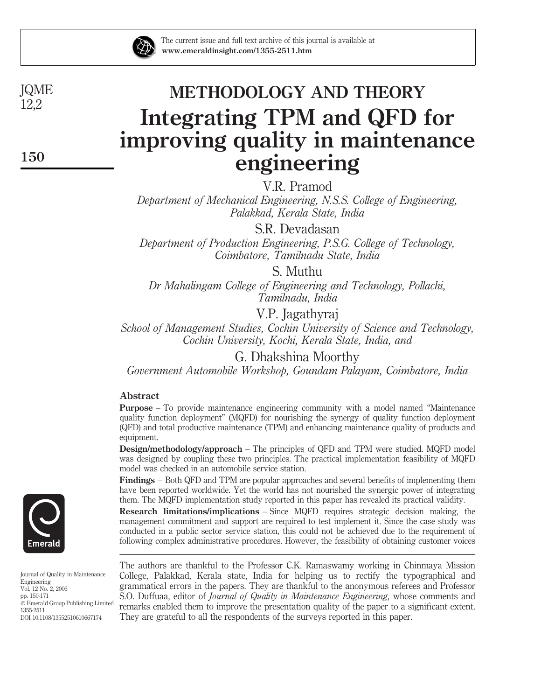

The current issue and full text archive of this journal is available at www.emeraldinsight.com/1355-2511.htm

JQME 12,2

150

# METHODOLOGY AND THEORY Integrating TPM and QFD for improving quality in maintenance engineering

V.R. Pramod

Department of Mechanical Engineering, N.S.S. College of Engineering, Palakkad, Kerala State, India

S.R. Devadasan Department of Production Engineering, P.S.G. College of Technology, Coimbatore, Tamilnadu State, India

S. Muthu

Dr Mahalingam College of Engineering and Technology, Pollachi, Tamilnadu, India

V.P. Jagathyraj

School of Management Studies, Cochin University of Science and Technology, Cochin University, Kochi, Kerala State, India, and

G. Dhakshina Moorthy

Government Automobile Workshop, Goundam Palayam, Coimbatore, India

# Abstract

Purpose – To provide maintenance engineering community with a model named "Maintenance quality function deployment" (MQFD) for nourishing the synergy of quality function deployment (QFD) and total productive maintenance (TPM) and enhancing maintenance quality of products and equipment.

Design/methodology/approach – The principles of QFD and TPM were studied. MQFD model was designed by coupling these two principles. The practical implementation feasibility of MQFD model was checked in an automobile service station.

Findings – Both QFD and TPM are popular approaches and several benefits of implementing them have been reported worldwide. Yet the world has not nourished the synergic power of integrating them. The MQFD implementation study reported in this paper has revealed its practical validity.

Research limitations/implications – Since MQFD requires strategic decision making, the management commitment and support are required to test implement it. Since the case study was conducted in a public sector service station, this could not be achieved due to the requirement of following complex administrative procedures. However, the feasibility of obtaining customer voices

The authors are thankful to the Professor C.K. Ramaswamy working in Chinmaya Mission College, Palakkad, Kerala state, India for helping us to rectify the typographical and grammatical errors in the papers. They are thankful to the anonymous referees and Professor S.O. Duffuaa, editor of *Journal of Quality in Maintenance Engineering*, whose comments and remarks enabled them to improve the presentation quality of the paper to a significant extent. They are grateful to all the respondents of the surveys reported in this paper.



Journal of Quality in Maintenance Engineering Vol. 12 No. 2, 2006 pp. 150-171  $\degree$  Emerald Group Publishing Limited 1355-2511 DOI 10.1108/13552510610667174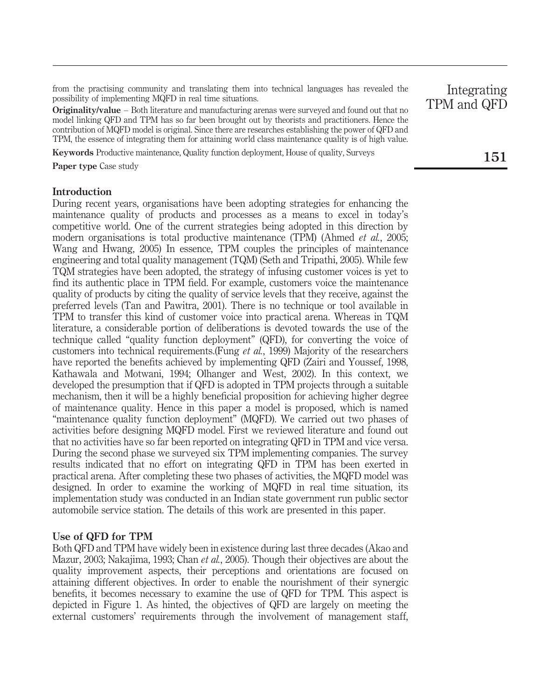from the practising community and translating them into technical languages has revealed the possibility of implementing MQFD in real time situations.

Originality/value – Both literature and manufacturing arenas were surveyed and found out that no model linking QFD and TPM has so far been brought out by theorists and practitioners. Hence the contribution of MQFD model is original. Since there are researches establishing the power of QFD and TPM, the essence of integrating them for attaining world class maintenance quality is of high value.

Keywords Productive maintenance, Quality function deployment, House of quality, Surveys

Paper type Case study

#### Introduction

During recent years, organisations have been adopting strategies for enhancing the maintenance quality of products and processes as a means to excel in today's competitive world. One of the current strategies being adopted in this direction by modern organisations is total productive maintenance (TPM) (Ahmed *et al.*, 2005; Wang and Hwang, 2005) In essence, TPM couples the principles of maintenance engineering and total quality management (TQM) (Seth and Tripathi, 2005). While few TQM strategies have been adopted, the strategy of infusing customer voices is yet to find its authentic place in TPM field. For example, customers voice the maintenance quality of products by citing the quality of service levels that they receive, against the preferred levels (Tan and Pawitra, 2001). There is no technique or tool available in TPM to transfer this kind of customer voice into practical arena. Whereas in TQM literature, a considerable portion of deliberations is devoted towards the use of the technique called "quality function deployment" (QFD), for converting the voice of customers into technical requirements.(Fung et al., 1999) Majority of the researchers have reported the benefits achieved by implementing QFD (Zairi and Youssef, 1998, Kathawala and Motwani, 1994; Olhanger and West, 2002). In this context, we developed the presumption that if QFD is adopted in TPM projects through a suitable mechanism, then it will be a highly beneficial proposition for achieving higher degree of maintenance quality. Hence in this paper a model is proposed, which is named "maintenance quality function deployment" (MQFD). We carried out two phases of activities before designing MQFD model. First we reviewed literature and found out that no activities have so far been reported on integrating QFD in TPM and vice versa. During the second phase we surveyed six TPM implementing companies. The survey results indicated that no effort on integrating QFD in TPM has been exerted in practical arena. After completing these two phases of activities, the MQFD model was designed. In order to examine the working of MQFD in real time situation, its implementation study was conducted in an Indian state government run public sector automobile service station. The details of this work are presented in this paper.

#### Use of QFD for TPM

Both QFD and TPM have widely been in existence during last three decades (Akao and Mazur, 2003; Nakajima, 1993; Chan et al., 2005). Though their objectives are about the quality improvement aspects, their perceptions and orientations are focused on attaining different objectives. In order to enable the nourishment of their synergic benefits, it becomes necessary to examine the use of QFD for TPM. This aspect is depicted in Figure 1. As hinted, the objectives of QFD are largely on meeting the external customers' requirements through the involvement of management staff,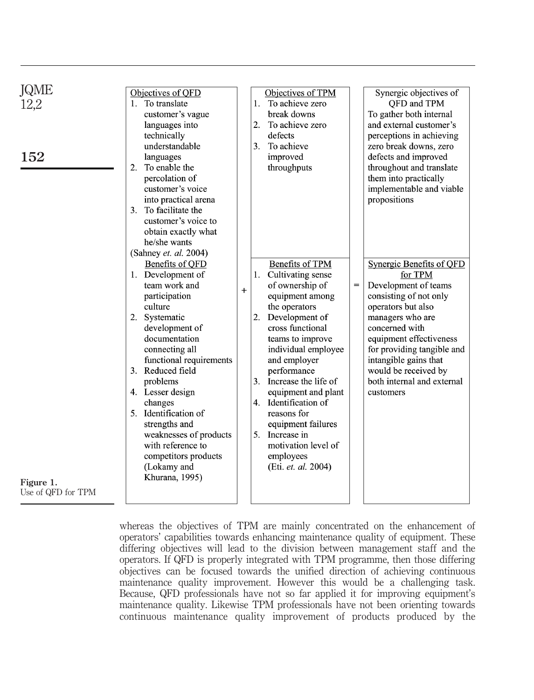| <b>JQME</b>        | Objectives of QFD       |           |    | Objectives of TPM       |     | Synergic objectives of     |
|--------------------|-------------------------|-----------|----|-------------------------|-----|----------------------------|
| 12,2               | 1. To translate         |           |    | 1. To achieve zero      |     | QFD and TPM                |
|                    | customer's vague        |           |    | break downs             |     | To gather both internal    |
|                    | languages into          |           | 2. | To achieve zero         |     | and external customer's    |
|                    | technically             |           |    | defects                 |     | perceptions in achieving   |
|                    | understandable          |           | 3. | To achieve              |     | zero break downs, zero     |
| 152                | languages               |           |    | improved                |     | defects and improved       |
|                    | 2. To enable the        |           |    | throughputs             |     | throughout and translate   |
|                    | percolation of          |           |    |                         |     | them into practically      |
|                    | customer's voice        |           |    |                         |     | implementable and viable   |
|                    | into practical arena    |           |    |                         |     | propositions               |
|                    | 3. To facilitate the    |           |    |                         |     |                            |
|                    | customer's voice to     |           |    |                         |     |                            |
|                    | obtain exactly what     |           |    |                         |     |                            |
|                    | he/she wants            |           |    |                         |     |                            |
|                    | (Sahney et. al. 2004)   |           |    |                         |     |                            |
|                    | Benefits of QFD         |           |    | Benefits of TPM         |     | Synergic Benefits of QFD   |
|                    | 1. Development of       |           |    | 1. Cultivating sense    |     | for TPM                    |
|                    | team work and           |           |    | of ownership of         | $=$ | Development of teams       |
|                    | participation           | $\ddot{}$ |    | equipment among         |     | consisting of not only     |
|                    | culture                 |           |    | the operators           |     | operators but also         |
|                    | 2. Systematic           |           |    | 2. Development of       |     | managers who are           |
|                    | development of          |           |    | cross functional        |     | concerned with             |
|                    | documentation           |           |    | teams to improve        |     | equipment effectiveness    |
|                    | connecting all          |           |    | individual employee     |     | for providing tangible and |
|                    | functional requirements |           |    | and employer            |     | intangible gains that      |
|                    | 3. Reduced field        |           |    | performance             |     | would be received by       |
|                    | problems                |           |    | 3. Increase the life of |     | both internal and external |
|                    | 4. Lesser design        |           |    | equipment and plant     |     | customers                  |
|                    | changes                 |           |    | 4. Identification of    |     |                            |
|                    | 5. Identification of    |           |    | reasons for             |     |                            |
|                    | strengths and           |           |    | equipment failures      |     |                            |
|                    | weaknesses of products  |           |    | 5. Increase in          |     |                            |
|                    | with reference to       |           |    | motivation level of     |     |                            |
|                    | competitors products    |           |    | employees               |     |                            |
|                    | (Lokamy and             |           |    | (Eti. et. al. 2004)     |     |                            |
|                    | Khurana, 1995)          |           |    |                         |     |                            |
| Figure 1.          |                         |           |    |                         |     |                            |
| Use of QFD for TPM |                         |           |    |                         |     |                            |
|                    |                         |           |    |                         |     |                            |

whereas the objectives of TPM are mainly concentrated on the enhancement of operators' capabilities towards enhancing maintenance quality of equipment. These differing objectives will lead to the division between management staff and the operators. If QFD is properly integrated with TPM programme, then those differing objectives can be focused towards the unified direction of achieving continuous maintenance quality improvement. However this would be a challenging task. Because, QFD professionals have not so far applied it for improving equipment's maintenance quality. Likewise TPM professionals have not been orienting towards continuous maintenance quality improvement of products produced by the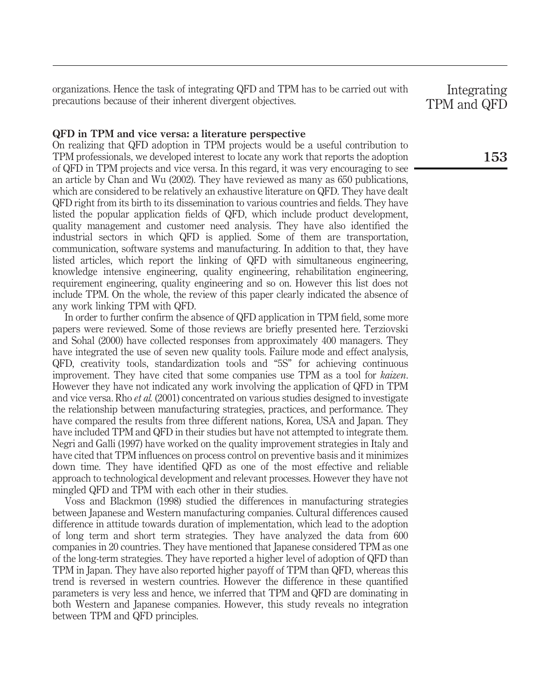organizations. Hence the task of integrating QFD and TPM has to be carried out with precautions because of their inherent divergent objectives.

#### QFD in TPM and vice versa: a literature perspective

On realizing that QFD adoption in TPM projects would be a useful contribution to TPM professionals, we developed interest to locate any work that reports the adoption of QFD in TPM projects and vice versa. In this regard, it was very encouraging to see an article by Chan and Wu (2002). They have reviewed as many as 650 publications, which are considered to be relatively an exhaustive literature on QFD. They have dealt QFD right from its birth to its dissemination to various countries and fields. They have listed the popular application fields of QFD, which include product development, quality management and customer need analysis. They have also identified the industrial sectors in which QFD is applied. Some of them are transportation, communication, software systems and manufacturing. In addition to that, they have listed articles, which report the linking of QFD with simultaneous engineering, knowledge intensive engineering, quality engineering, rehabilitation engineering, requirement engineering, quality engineering and so on. However this list does not include TPM. On the whole, the review of this paper clearly indicated the absence of any work linking TPM with QFD.

In order to further confirm the absence of QFD application in TPM field, some more papers were reviewed. Some of those reviews are briefly presented here. Terziovski and Sohal (2000) have collected responses from approximately 400 managers. They have integrated the use of seven new quality tools. Failure mode and effect analysis, QFD, creativity tools, standardization tools and "5S" for achieving continuous improvement. They have cited that some companies use TPM as a tool for kaizen. However they have not indicated any work involving the application of QFD in TPM and vice versa. Rho et al. (2001) concentrated on various studies designed to investigate the relationship between manufacturing strategies, practices, and performance. They have compared the results from three different nations, Korea, USA and Japan. They have included TPM and QFD in their studies but have not attempted to integrate them. Negri and Galli (1997) have worked on the quality improvement strategies in Italy and have cited that TPM influences on process control on preventive basis and it minimizes down time. They have identified QFD as one of the most effective and reliable approach to technological development and relevant processes. However they have not mingled QFD and TPM with each other in their studies.

Voss and Blackmon (1998) studied the differences in manufacturing strategies between Japanese and Western manufacturing companies. Cultural differences caused difference in attitude towards duration of implementation, which lead to the adoption of long term and short term strategies. They have analyzed the data from 600 companies in 20 countries. They have mentioned that Japanese considered TPM as one of the long-term strategies. They have reported a higher level of adoption of QFD than TPM in Japan. They have also reported higher payoff of TPM than QFD, whereas this trend is reversed in western countries. However the difference in these quantified parameters is very less and hence, we inferred that TPM and QFD are dominating in both Western and Japanese companies. However, this study reveals no integration between TPM and QFD principles.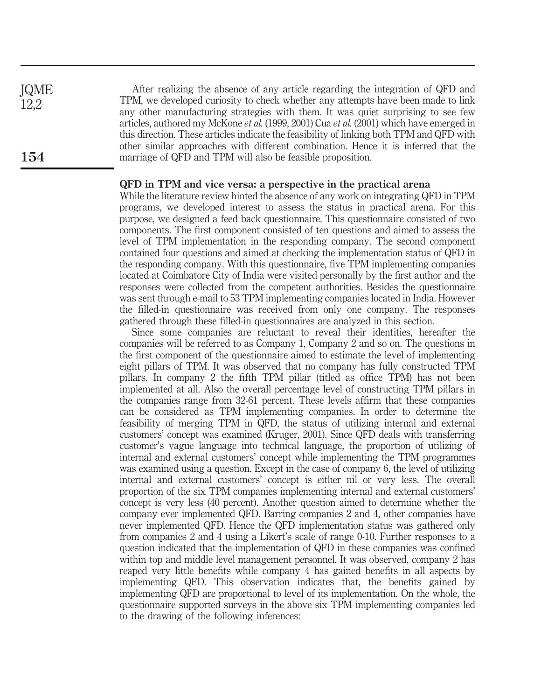After realizing the absence of any article regarding the integration of QFD and TPM, we developed curiosity to check whether any attempts have been made to link any other manufacturing strategies with them. It was quiet surprising to see few articles, authored my McKone et al. (1999, 2001) Cua et al. (2001) which have emerged in this direction. These articles indicate the feasibility of linking both TPM and QFD with other similar approaches with different combination. Hence it is inferred that the marriage of QFD and TPM will also be feasible proposition.

# QFD in TPM and vice versa: a perspective in the practical arena

While the literature review hinted the absence of any work on integrating QFD in TPM programs, we developed interest to assess the status in practical arena. For this purpose, we designed a feed back questionnaire. This questionnaire consisted of two components. The first component consisted of ten questions and aimed to assess the level of TPM implementation in the responding company. The second component contained four questions and aimed at checking the implementation status of QFD in the responding company. With this questionnaire, five TPM implementing companies located at Coimbatore City of India were visited personally by the first author and the responses were collected from the competent authorities. Besides the questionnaire was sent through e-mail to 53 TPM implementing companies located in India. However the filled-in questionnaire was received from only one company. The responses gathered through these filled-in questionnaires are analyzed in this section.

Since some companies are reluctant to reveal their identities, hereafter the companies will be referred to as Company 1, Company 2 and so on. The questions in the first component of the questionnaire aimed to estimate the level of implementing eight pillars of TPM. It was observed that no company has fully constructed TPM pillars. In company 2 the fifth TPM pillar (titled as office TPM) has not been implemented at all. Also the overall percentage level of constructing TPM pillars in the companies range from 32-61 percent. These levels affirm that these companies can be considered as TPM implementing companies. In order to determine the feasibility of merging TPM in QFD, the status of utilizing internal and external customers' concept was examined (Kruger, 2001). Since QFD deals with transferring customer's vague language into technical language, the proportion of utilizing of internal and external customers' concept while implementing the TPM programmes was examined using a question. Except in the case of company 6, the level of utilizing internal and external customers' concept is either nil or very less. The overall proportion of the six TPM companies implementing internal and external customers' concept is very less (40 percent). Another question aimed to determine whether the company ever implemented QFD. Barring companies 2 and 4, other companies have never implemented QFD. Hence the QFD implementation status was gathered only from companies 2 and 4 using a Likert's scale of range 0-10. Further responses to a question indicated that the implementation of QFD in these companies was confined within top and middle level management personnel. It was observed, company 2 has reaped very little benefits while company 4 has gained benefits in all aspects by implementing QFD. This observation indicates that, the benefits gained by implementing QFD are proportional to level of its implementation. On the whole, the questionnaire supported surveys in the above six TPM implementing companies led to the drawing of the following inferences:

JQME 12,2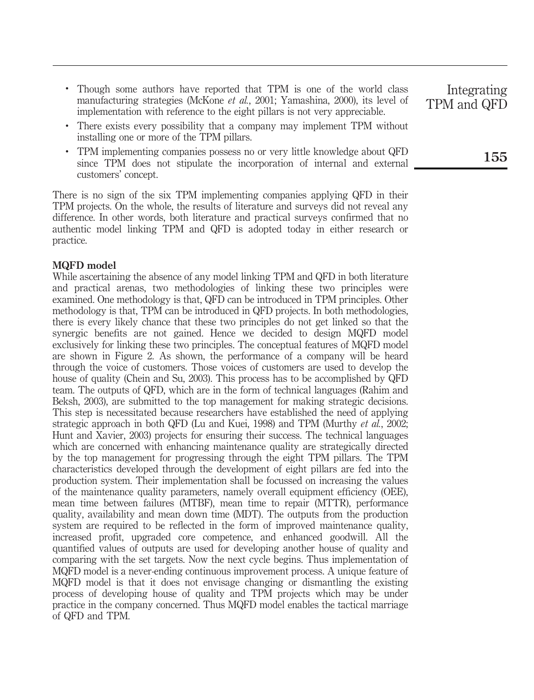- . Though some authors have reported that TPM is one of the world class manufacturing strategies (McKone et al., 2001; Yamashina, 2000), its level of implementation with reference to the eight pillars is not very appreciable.
- . There exists every possibility that a company may implement TPM without installing one or more of the TPM pillars.
- . TPM implementing companies possess no or very little knowledge about QFD since TPM does not stipulate the incorporation of internal and external customers' concept.

There is no sign of the six TPM implementing companies applying QFD in their TPM projects. On the whole, the results of literature and surveys did not reveal any difference. In other words, both literature and practical surveys confirmed that no authentic model linking TPM and QFD is adopted today in either research or practice.

# MQFD model

While ascertaining the absence of any model linking TPM and QFD in both literature and practical arenas, two methodologies of linking these two principles were examined. One methodology is that, QFD can be introduced in TPM principles. Other methodology is that, TPM can be introduced in QFD projects. In both methodologies, there is every likely chance that these two principles do not get linked so that the synergic benefits are not gained. Hence we decided to design MQFD model exclusively for linking these two principles. The conceptual features of MQFD model are shown in Figure 2. As shown, the performance of a company will be heard through the voice of customers. Those voices of customers are used to develop the house of quality (Chein and Su, 2003). This process has to be accomplished by QFD team. The outputs of QFD, which are in the form of technical languages (Rahim and Beksh, 2003), are submitted to the top management for making strategic decisions. This step is necessitated because researchers have established the need of applying strategic approach in both QFD (Lu and Kuei, 1998) and TPM (Murthy et al., 2002; Hunt and Xavier, 2003) projects for ensuring their success. The technical languages which are concerned with enhancing maintenance quality are strategically directed by the top management for progressing through the eight TPM pillars. The TPM characteristics developed through the development of eight pillars are fed into the production system. Their implementation shall be focussed on increasing the values of the maintenance quality parameters, namely overall equipment efficiency (OEE), mean time between failures (MTBF), mean time to repair (MTTR), performance quality, availability and mean down time (MDT). The outputs from the production system are required to be reflected in the form of improved maintenance quality, increased profit, upgraded core competence, and enhanced goodwill. All the quantified values of outputs are used for developing another house of quality and comparing with the set targets. Now the next cycle begins. Thus implementation of MQFD model is a never-ending continuous improvement process. A unique feature of MQFD model is that it does not envisage changing or dismantling the existing process of developing house of quality and TPM projects which may be under practice in the company concerned. Thus MQFD model enables the tactical marriage of QFD and TPM.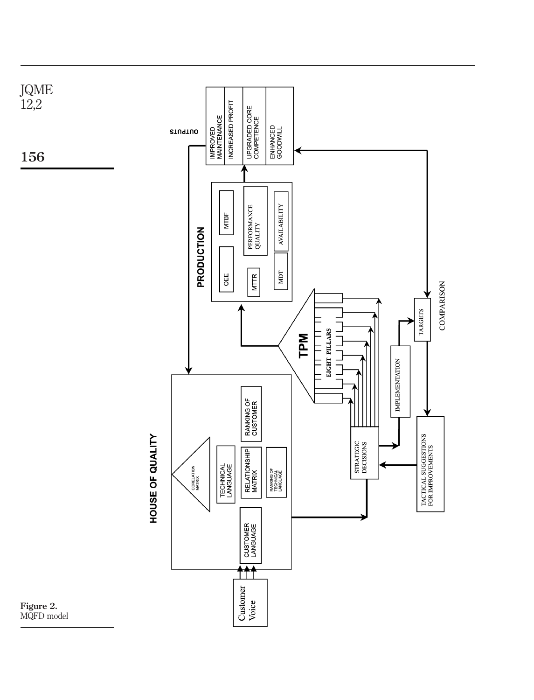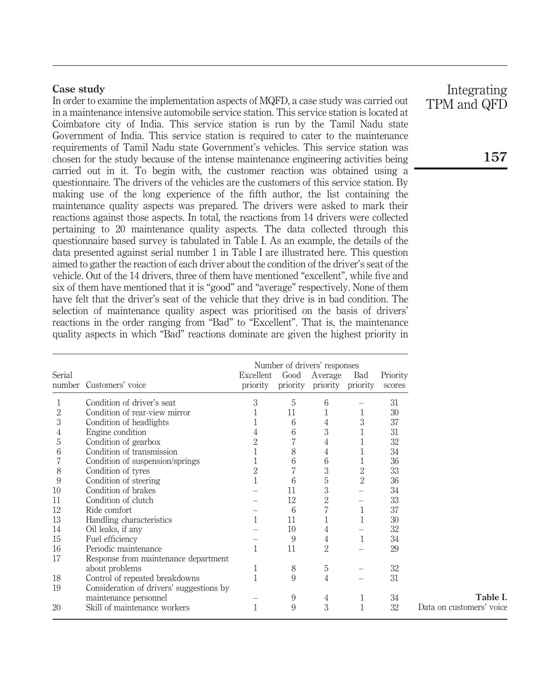### Case study

In order to examine the implementation aspects of MQFD, a case study was carried out in a maintenance intensive automobile service station. This service station is located at Coimbatore city of India. This service station is run by the Tamil Nadu state Government of India. This service station is required to cater to the maintenance requirements of Tamil Nadu state Government's vehicles. This service station was chosen for the study because of the intense maintenance engineering activities being carried out in it. To begin with, the customer reaction was obtained using a questionnaire. The drivers of the vehicles are the customers of this service station. By making use of the long experience of the fifth author, the list containing the maintenance quality aspects was prepared. The drivers were asked to mark their reactions against those aspects. In total, the reactions from 14 drivers were collected pertaining to 20 maintenance quality aspects. The data collected through this questionnaire based survey is tabulated in Table I. As an example, the details of the data presented against serial number 1 in Table I are illustrated here. This question aimed to gather the reaction of each driver about the condition of the driver's seat of the vehicle. Out of the 14 drivers, three of them have mentioned "excellent", while five and six of them have mentioned that it is "good" and "average" respectively. None of them have felt that the driver's seat of the vehicle that they drive is in bad condition. The selection of maintenance quality aspect was prioritised on the basis of drivers' reactions in the order ranging from "Bad" to "Excellent". That is, the maintenance quality aspects in which "Bad" reactions dominate are given the highest priority in

|        |                                          |                       |      | Number of drivers' responses          |                |                    |                          |
|--------|------------------------------------------|-----------------------|------|---------------------------------------|----------------|--------------------|--------------------------|
| Serial | number Customers' voice                  | Excellent<br>priority | Good | Average<br>priority priority priority | Bad            | Priority<br>scores |                          |
| 1      | Condition of driver's seat               | 3                     | 5    | 6                                     |                | 31                 |                          |
| 2      | Condition of rear-view mirror            |                       | 11   | 1                                     | 1              | 30                 |                          |
| 3      | Condition of headlights                  |                       | 6    | 4                                     | 3              | 37                 |                          |
| 4      | Engine condition                         |                       | 6    | 3                                     |                | 31                 |                          |
| 5      | Condition of gearbox                     | 2                     |      | 4                                     |                | 32                 |                          |
| 6      | Condition of transmission                |                       | 8    | 4                                     | 1              | 34                 |                          |
|        | Condition of suspension/springs          |                       | 6    | 6                                     | 1              | 36                 |                          |
| 8      | Condition of tyres                       | 2                     | 7    | 3                                     | $\overline{2}$ | 33                 |                          |
| 9      | Condition of steering                    |                       | 6    | 5                                     | $\overline{2}$ | 36                 |                          |
| 10     | Condition of brakes                      |                       | 11   | 3                                     |                | 34                 |                          |
| 11     | Condition of clutch                      |                       | 12   | $\overline{2}$                        |                | 33                 |                          |
| 12     | Ride comfort                             |                       | 6    | 7                                     |                | 37                 |                          |
| 13     | Handling characteristics                 |                       | 11   | 1                                     |                | 30                 |                          |
| 14     | Oil leaks, if any                        |                       | 10   | 4                                     |                | 32                 |                          |
| 15     | Fuel efficiency                          |                       | 9    | 4                                     |                | 34                 |                          |
| 16     | Periodic maintenance                     | 1                     | 11   | $\overline{2}$                        |                | 29                 |                          |
| 17     | Response from maintenance department     |                       |      |                                       |                |                    |                          |
|        | about problems                           | 1                     | 8    | 5                                     |                | 32                 |                          |
| 18     | Control of repeated breakdowns           |                       | 9    | $\overline{4}$                        |                | 31                 |                          |
| 19     | Consideration of drivers' suggestions by |                       |      |                                       |                |                    |                          |
|        | maintenance personnel                    |                       | 9    | 4                                     | 1              | 34                 | Table I.                 |
| 20     | Skill of maintenance workers             | $\mathbf{1}$          | 9    | 3                                     | 1              | 32                 | Data on customers' voice |

Integrating TPM and QFD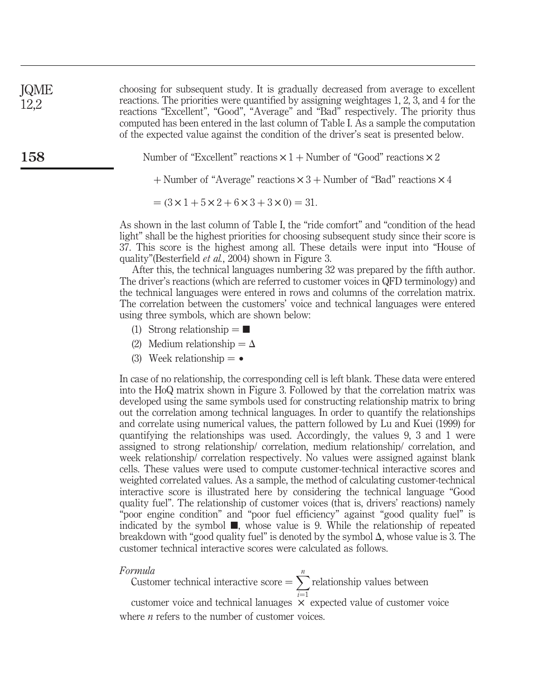choosing for subsequent study. It is gradually decreased from average to excellent reactions. The priorities were quantified by assigning weightages 1, 2, 3, and 4 for the reactions "Excellent", "Good", "Average" and "Bad" respectively. The priority thus computed has been entered in the last column of Table I. As a sample the computation of the expected value against the condition of the driver's seat is presented below.

Number of "Excellent" reactions  $\times$  1 + Number of "Good" reactions  $\times$  2

+ Number of "Average" reactions  $\times$  3 + Number of "Bad" reactions  $\times$  4

 $=(3 \times 1 + 5 \times 2 + 6 \times 3 + 3 \times 0) = 31.$ 

As shown in the last column of Table I, the "ride comfort" and "condition of the head light" shall be the highest priorities for choosing subsequent study since their score is 37. This score is the highest among all. These details were input into "House of quality"(Besterfield et al., 2004) shown in Figure 3.

After this, the technical languages numbering 32 was prepared by the fifth author. The driver's reactions (which are referred to customer voices in QFD terminology) and the technical languages were entered in rows and columns of the correlation matrix. The correlation between the customers' voice and technical languages were entered using three symbols, which are shown below:

- (1) Strong relationship  $= \blacksquare$
- (2) Medium relationship  $=\Delta$
- (3) Week relationship  $= \bullet$

In case of no relationship, the corresponding cell is left blank. These data were entered into the HoQ matrix shown in Figure 3. Followed by that the correlation matrix was developed using the same symbols used for constructing relationship matrix to bring out the correlation among technical languages. In order to quantify the relationships and correlate using numerical values, the pattern followed by Lu and Kuei (1999) for quantifying the relationships was used. Accordingly, the values 9, 3 and 1 were assigned to strong relationship/ correlation, medium relationship/ correlation, and week relationship/ correlation respectively. No values were assigned against blank cells. These values were used to compute customer-technical interactive scores and weighted correlated values. As a sample, the method of calculating customer-technical interactive score is illustrated here by considering the technical language "Good quality fuel". The relationship of customer voices (that is, drivers' reactions) namely "poor engine condition" and "poor fuel efficiency" against "good quality fuel" is indicated by the symbol  $\blacksquare$ , whose value is 9. While the relationship of repeated breakdown with "good quality fuel" is denoted by the symbol  $\Delta$ , whose value is 3. The customer technical interactive scores were calculated as follows.

#### Formula

*cmula*<br>Customer technical interactive score  $= \sum_{n=1}^n$  $i=1$ relationship values between

customer voice and technical lanuages  $\times$  expected value of customer voice where  $n$  refers to the number of customer voices.

JQME 12,2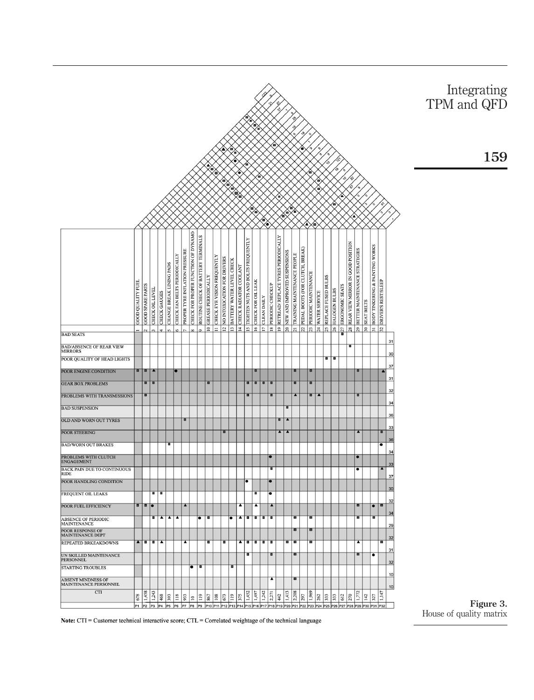

Note: CTI = Customer technical interactive score; CTL = Correlated weightage of the technical language

House of quality matrix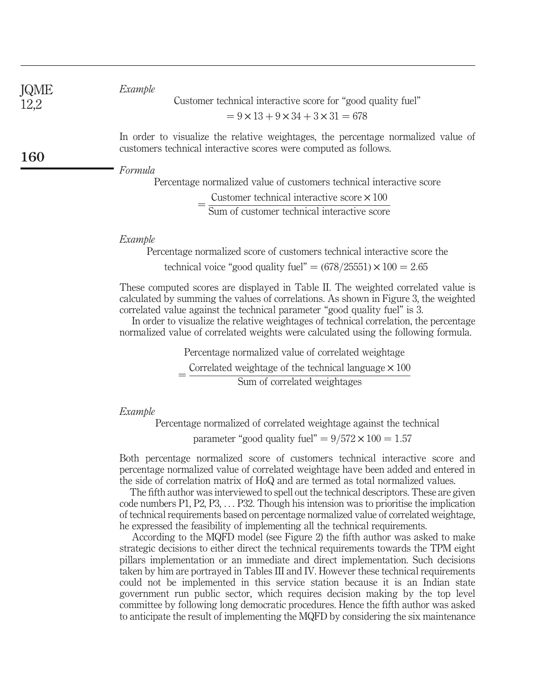| ىسىپ ر<br>12,2 | Customer technical interactive score for "good quality fuel"<br>$= 9 \times 13 + 9 \times 34 + 3 \times 31 = 678$                                                                                                                                                                                                                                                                                                                        |
|----------------|------------------------------------------------------------------------------------------------------------------------------------------------------------------------------------------------------------------------------------------------------------------------------------------------------------------------------------------------------------------------------------------------------------------------------------------|
| 160            | In order to visualize the relative weightages, the percentage normalized value of<br>customers technical interactive scores were computed as follows.                                                                                                                                                                                                                                                                                    |
|                | Formula                                                                                                                                                                                                                                                                                                                                                                                                                                  |
|                | Percentage normalized value of customers technical interactive score                                                                                                                                                                                                                                                                                                                                                                     |
|                |                                                                                                                                                                                                                                                                                                                                                                                                                                          |
|                | $=\frac{\text{Customer technical interactive score} \times 100}{\text{Sum of customer technical interactive score}}$                                                                                                                                                                                                                                                                                                                     |
|                | Example                                                                                                                                                                                                                                                                                                                                                                                                                                  |
|                | Percentage normalized score of customers technical interactive score the                                                                                                                                                                                                                                                                                                                                                                 |
|                | technical voice "good quality fuel" = $(678/25551) \times 100 = 2.65$                                                                                                                                                                                                                                                                                                                                                                    |
|                | These computed scores are displayed in Table II. The weighted correlated value is<br>calculated by summing the values of correlations. As shown in Figure 3, the weighted<br>correlated value against the technical parameter "good quality fuel" is 3.<br>In order to visualize the relative weightages of technical correlation, the percentage<br>normalized value of correlated weights were calculated using the following formula. |
|                | Percentage normalized value of correlated weightage                                                                                                                                                                                                                                                                                                                                                                                      |
|                | Correlated weightage of the technical language $\times 100$                                                                                                                                                                                                                                                                                                                                                                              |
|                | Sum of correlated weightages                                                                                                                                                                                                                                                                                                                                                                                                             |

Example

**Example** 

**JOME** 

Percentage normalized of correlated weightage against the technical parameter "good quality fuel" =  $9/572 \times 100 = 1.57$ 

Both percentage normalized score of customers technical interactive score and percentage normalized value of correlated weightage have been added and entered in the side of correlation matrix of HoQ and are termed as total normalized values.

The fifth author was interviewed to spell out the technical descriptors. These are given code numbers P1, P2, P3, ... P32. Though his intension was to prioritise the implication of technical requirements based on percentage normalized value of correlated weightage, he expressed the feasibility of implementing all the technical requirements.

According to the MQFD model (see Figure 2) the fifth author was asked to make strategic decisions to either direct the technical requirements towards the TPM eight pillars implementation or an immediate and direct implementation. Such decisions taken by him are portrayed in Tables III and IV. However these technical requirements could not be implemented in this service station because it is an Indian state government run public sector, which requires decision making by the top level committee by following long democratic procedures. Hence the fifth author was asked to anticipate the result of implementing the MQFD by considering the six maintenance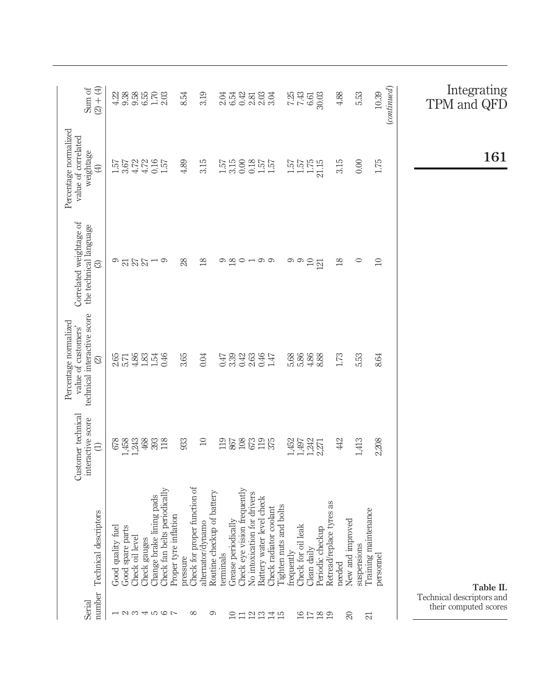| number<br>Serial                                   | Technical descriptors                           | Customer technical<br>interactive score<br>$\ominus$ | technical interactive score<br>Percentage normalized<br>value of customers'<br>$\widehat{\mathfrak{D}}$ | Correlated weightage of<br>the technical language<br>ම | Percentage normalized<br>value of correlated<br>weightage<br>$\bigoplus$ | $(2) + (4)$<br>Sum of         |
|----------------------------------------------------|-------------------------------------------------|------------------------------------------------------|---------------------------------------------------------------------------------------------------------|--------------------------------------------------------|--------------------------------------------------------------------------|-------------------------------|
|                                                    | Good quality fuel<br>Good spare parts           | $678$<br>1,458                                       |                                                                                                         | ာ                                                      | 1.57<br>3.67                                                             | 4.22                          |
| 1234567                                            | Check oil level                                 | 1,243                                                | $0.588378$<br>$0.788378$                                                                                | $\frac{27}{27}$                                        | 4.72                                                                     | 9.38                          |
|                                                    |                                                 | 468                                                  |                                                                                                         |                                                        | 4.72                                                                     |                               |
|                                                    | Change brake lining pads<br>Check gauges        | 393                                                  |                                                                                                         |                                                        |                                                                          | $3.503$<br>$0.703$<br>$0.503$ |
|                                                    | Check fan belts periodically                    | 118                                                  |                                                                                                         | $\overline{\phantom{0}}$                               | $0.16$<br>$1.57$                                                         |                               |
|                                                    | Proper tyre inflation                           |                                                      |                                                                                                         |                                                        |                                                                          |                               |
|                                                    | pressure                                        | 933                                                  | 3.65                                                                                                    | 28                                                     | 4.89                                                                     | 8.54                          |
| $\infty$                                           | per function of<br>Check for pro                |                                                      |                                                                                                         |                                                        |                                                                          |                               |
| G                                                  | Routine checkup of battery<br>alternator/dynamo | $\Box$                                               | 0.04                                                                                                    | 18                                                     | 3.15                                                                     | 3.19                          |
|                                                    | terminals                                       | 119                                                  | 0.47                                                                                                    |                                                        | 1.57                                                                     | 2.04                          |
|                                                    | Grease periodically                             |                                                      | 3.39                                                                                                    | $\circ$ $\frac{\infty}{10}$                            | 3.15                                                                     | 6.54                          |
| $\Xi$                                              | Check eye vision frequently                     | 225<br>1982                                          | 0.42                                                                                                    |                                                        | 0.00                                                                     | 0.42                          |
|                                                    | No intoxication for drivers                     |                                                      | 2.63                                                                                                    |                                                        | 0.18                                                                     |                               |
| $2241$                                             | Battery water level check                       | 119                                                  | 0.46                                                                                                    | ာ ၁                                                    | $1.57$<br>1.57                                                           | $\frac{2.81}{2.03}$           |
|                                                    | Check radiator coolant                          |                                                      | 1.47                                                                                                    |                                                        |                                                                          | 3.04                          |
|                                                    | Tighten nuts and bolts                          |                                                      |                                                                                                         |                                                        |                                                                          |                               |
|                                                    | frequently                                      | ,452                                                 | 5.68                                                                                                    | ာ တ                                                    |                                                                          |                               |
| 9599                                               | l leak<br>Check for oil                         | 1,497                                                | 5.86                                                                                                    |                                                        | $\frac{157}{157}$                                                        | $743$<br>$743$<br>$661$       |
|                                                    | Clean daily                                     | 1,242                                                | 4.86                                                                                                    | $\Box$                                                 |                                                                          |                               |
|                                                    | Periodic checkup                                | 2,271                                                | 8.88                                                                                                    | 121                                                    | 21.15                                                                    | 30.03                         |
|                                                    | Retread/replace tyres as                        |                                                      |                                                                                                         |                                                        |                                                                          |                               |
|                                                    | needed                                          | 442                                                  | 1.73                                                                                                    | $^{18}$                                                | 3.15                                                                     | 4.88                          |
| $\approx$                                          | New and improved                                |                                                      |                                                                                                         |                                                        |                                                                          |                               |
| $\overline{\mathcal{L}}$                           | suspensions                                     | 1,413                                                | 5.53                                                                                                    | $\circ$                                                | 0.00                                                                     | 5.53                          |
|                                                    | intenance<br>Training ma<br>personnel           | 2,208                                                | 8.64                                                                                                    | $\Box$                                                 | 1.75                                                                     | 10.39                         |
|                                                    |                                                 |                                                      |                                                                                                         |                                                        |                                                                          | $_{(continued)}$              |
|                                                    |                                                 |                                                      |                                                                                                         |                                                        |                                                                          |                               |
|                                                    |                                                 |                                                      |                                                                                                         |                                                        |                                                                          |                               |
|                                                    |                                                 |                                                      |                                                                                                         |                                                        |                                                                          |                               |
|                                                    |                                                 |                                                      |                                                                                                         |                                                        |                                                                          |                               |
| Technical descriptors and<br>their computed scores |                                                 |                                                      |                                                                                                         |                                                        |                                                                          | Integrating<br>TPM and QFD    |
|                                                    |                                                 |                                                      |                                                                                                         |                                                        |                                                                          |                               |
|                                                    | Table II.                                       |                                                      |                                                                                                         |                                                        | 161                                                                      |                               |
|                                                    |                                                 |                                                      |                                                                                                         |                                                        |                                                                          |                               |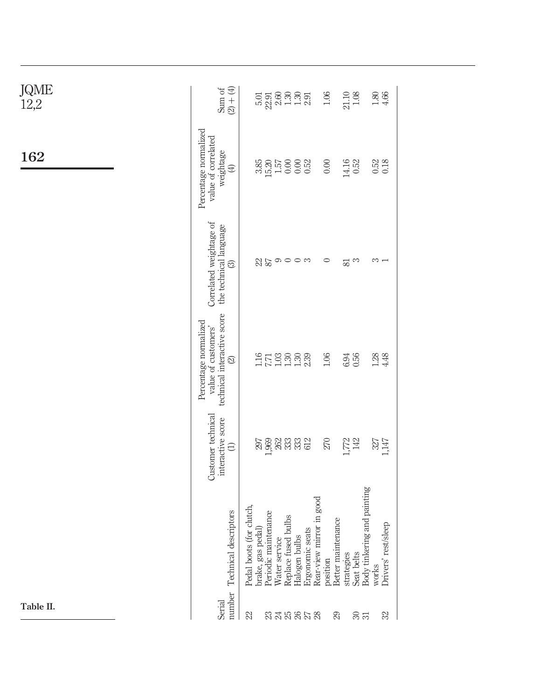| JQME<br>12,2 | $(2) + (4)$<br>Sum of                                                                                   | 501<br>02160<br>521601<br>52161<br>$\begin{array}{c} 21.10 \\ 1.08 \end{array}$<br>$1.06\,$<br>$\frac{1.80}{4.66}$                                                                                                                                                                                                 |
|--------------|---------------------------------------------------------------------------------------------------------|--------------------------------------------------------------------------------------------------------------------------------------------------------------------------------------------------------------------------------------------------------------------------------------------------------------------|
| 162          | Percentage normalized<br>value of correlated<br>weightage<br>$\bigoplus$                                | 14.16<br>0.52<br>$0.52$<br>$0.18$<br>$\begin{array}{c} 385 \\ 381 \\ 157 \\ 000 \\ 000 \\ \end{array}$<br>$0.00$                                                                                                                                                                                                   |
|              | Correlated weightage of<br>the technical language<br>ි                                                  | $\frac{1}{2}$ $\frac{1}{2}$ $\frac{1}{2}$ $\frac{1}{2}$ $\frac{1}{2}$<br>$\circ$<br>S<br>က<br>81                                                                                                                                                                                                                   |
|              | technical interactive score<br>Percentage normalized<br>value of customers'<br>$\widehat{\mathfrak{D}}$ | $178888$<br>$17371128$<br>1.06<br>6.94<br>0.56<br>$1.28$<br>$4.48$                                                                                                                                                                                                                                                 |
|              | Customer technical<br>interactive score<br>$\ominus$                                                    | $1.772 \newline 142$<br>270<br>$\frac{327}{1147}$<br>297                                                                                                                                                                                                                                                           |
|              | Technical descriptors                                                                                   | g and painting<br>rror in good<br>Pedal boots (for clutch,<br>Periodic maintenance<br>Water service<br>Replace fused bulbs<br>position<br>Better maintenance<br>Drivers' rest/sleep<br>brake, gas pedal)<br>Halogen bulbs<br>Ergonomic seats<br>Body tinkerin<br>Rear-view mi<br>Seat belts<br>strategies<br>works |
| Table II.    | number<br>Serial                                                                                        | 22<br>335858<br>29<br>$\frac{2}{31}$<br>32                                                                                                                                                                                                                                                                         |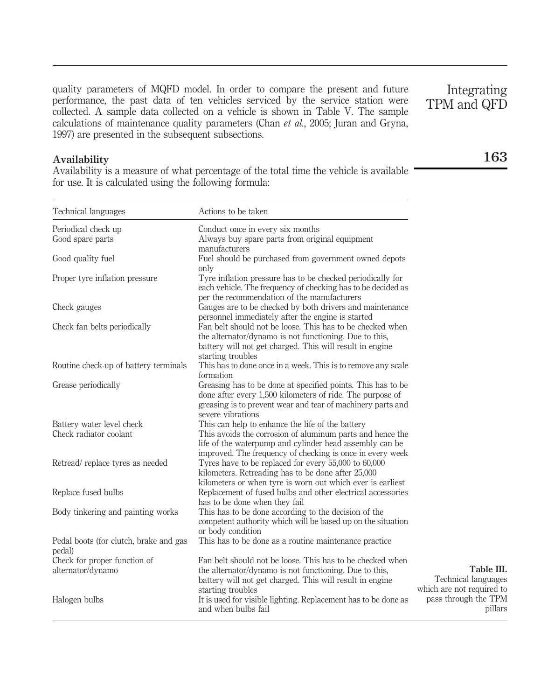quality parameters of MQFD model. In order to compare the present and future performance, the past data of ten vehicles serviced by the service station were collected. A sample data collected on a vehicle is shown in Table V. The sample calculations of maintenance quality parameters (Chan et al., 2005; Juran and Gryna, 1997) are presented in the subsequent subsections.

### Availability

Availability is a measure of what percentage of the total time the vehicle is available for use. It is calculated using the following formula:

| Technical languages                                 | Actions to be taken                                                                                                                                                                                                                   |                                                                |
|-----------------------------------------------------|---------------------------------------------------------------------------------------------------------------------------------------------------------------------------------------------------------------------------------------|----------------------------------------------------------------|
| Periodical check up<br>Good spare parts             | Conduct once in every six months<br>Always buy spare parts from original equipment                                                                                                                                                    |                                                                |
| Good quality fuel                                   | manufacturers<br>Fuel should be purchased from government owned depots<br>only                                                                                                                                                        |                                                                |
| Proper tyre inflation pressure                      | Tyre inflation pressure has to be checked periodically for<br>each vehicle. The frequency of checking has to be decided as                                                                                                            |                                                                |
| Check gauges                                        | per the recommendation of the manufacturers<br>Gauges are to be checked by both drivers and maintenance<br>personnel immediately after the engine is started                                                                          |                                                                |
| Check fan belts periodically                        | Fan belt should not be loose. This has to be checked when<br>the alternator/dynamo is not functioning. Due to this,<br>battery will not get charged. This will result in engine<br>starting troubles                                  |                                                                |
| Routine check-up of battery terminals               | This has to done once in a week. This is to remove any scale<br>formation                                                                                                                                                             |                                                                |
| Grease periodically                                 | Greasing has to be done at specified points. This has to be<br>done after every 1,500 kilometers of ride. The purpose of<br>greasing is to prevent wear and tear of machinery parts and<br>severe vibrations                          |                                                                |
| Battery water level check<br>Check radiator coolant | This can help to enhance the life of the battery<br>This avoids the corrosion of aluminum parts and hence the<br>life of the waterpump and cylinder head assembly can be                                                              |                                                                |
| Retread/replace tyres as needed                     | improved. The frequency of checking is once in every week<br>Tyres have to be replaced for every 55,000 to 60,000<br>kilometers. Retreading has to be done after 25,000<br>kilometers or when tyre is worn out which ever is earliest |                                                                |
| Replace fused bulbs                                 | Replacement of fused bulbs and other electrical accessories<br>has to be done when they fail                                                                                                                                          |                                                                |
| Body tinkering and painting works                   | This has to be done according to the decision of the<br>competent authority which will be based up on the situation<br>or body condition                                                                                              |                                                                |
| Pedal boots (for clutch, brake and gas<br>pedal)    | This has to be done as a routine maintenance practice                                                                                                                                                                                 |                                                                |
| Check for proper function of<br>alternator/dynamo   | Fan belt should not be loose. This has to be checked when<br>the alternator/dynamo is not functioning. Due to this,<br>battery will not get charged. This will result in engine<br>starting troubles                                  | Table III.<br>Technical languages<br>which are not required to |
| Halogen bulbs                                       | It is used for visible lighting. Replacement has to be done as<br>and when bulbs fail                                                                                                                                                 | pass through the TPM<br>pillars                                |

Integrating TPM and QFD

163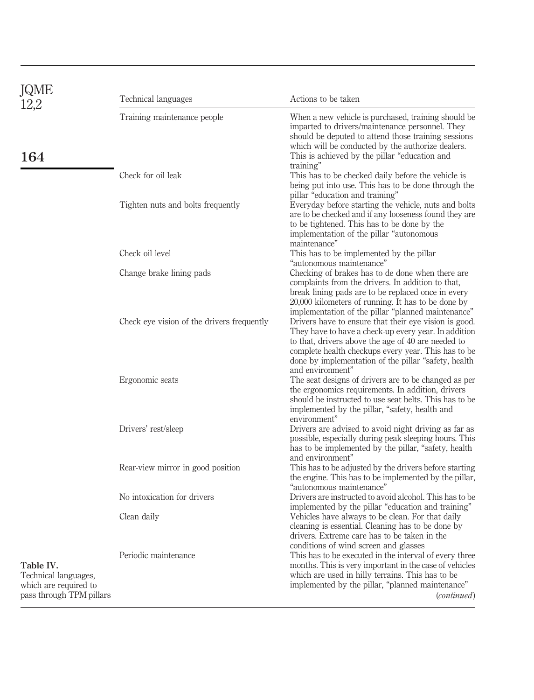| <b>JQME</b>                                                                            | Technical languages                        | Actions to be taken                                                                                                                                                                                                                                                                                                                                                                             |
|----------------------------------------------------------------------------------------|--------------------------------------------|-------------------------------------------------------------------------------------------------------------------------------------------------------------------------------------------------------------------------------------------------------------------------------------------------------------------------------------------------------------------------------------------------|
| 164                                                                                    | Training maintenance people                | When a new vehicle is purchased, training should be.<br>imparted to drivers/maintenance personnel. They<br>should be deputed to attend those training sessions<br>which will be conducted by the authorize dealers.<br>This is achieved by the pillar "education and                                                                                                                            |
|                                                                                        | Check for oil leak                         | training"<br>This has to be checked daily before the vehicle is<br>being put into use. This has to be done through the                                                                                                                                                                                                                                                                          |
|                                                                                        | Tighten nuts and bolts frequently          | pillar "education and training"<br>Everyday before starting the vehicle, nuts and bolts<br>are to be checked and if any looseness found they are<br>to be tightened. This has to be done by the<br>implementation of the pillar "autonomous                                                                                                                                                     |
|                                                                                        | Check oil level                            | maintenance"<br>This has to be implemented by the pillar                                                                                                                                                                                                                                                                                                                                        |
|                                                                                        | Change brake lining pads                   | "autonomous maintenance"<br>Checking of brakes has to de done when there are<br>complaints from the drivers. In addition to that,<br>break lining pads are to be replaced once in every                                                                                                                                                                                                         |
|                                                                                        | Check eye vision of the drivers frequently | 20,000 kilometers of running. It has to be done by<br>implementation of the pillar "planned maintenance"<br>Drivers have to ensure that their eye vision is good.<br>They have to have a check-up every year. In addition<br>to that, drivers above the age of 40 are needed to<br>complete health checkups every year. This has to be<br>done by implementation of the pillar "safety, health" |
|                                                                                        | Ergonomic seats                            | and environment"<br>The seat designs of drivers are to be changed as per<br>the ergonomics requirements. In addition, drivers<br>should be instructed to use seat belts. This has to be<br>implemented by the pillar, "safety, health and                                                                                                                                                       |
|                                                                                        | Drivers' rest/sleep                        | environment"<br>Drivers are advised to avoid night driving as far as<br>possible, especially during peak sleeping hours. This<br>has to be implemented by the pillar, "safety, health<br>and environment"                                                                                                                                                                                       |
|                                                                                        | Rear-view mirror in good position          | This has to be adjusted by the drivers before starting<br>the engine. This has to be implemented by the pillar,<br>"autonomous maintenance"                                                                                                                                                                                                                                                     |
|                                                                                        | No intoxication for drivers                | Drivers are instructed to avoid alcohol. This has to be                                                                                                                                                                                                                                                                                                                                         |
|                                                                                        | Clean daily                                | implemented by the pillar "education and training"<br>Vehicles have always to be clean. For that daily<br>cleaning is essential. Cleaning has to be done by<br>drivers. Extreme care has to be taken in the                                                                                                                                                                                     |
| Table IV.<br>Technical languages,<br>which are required to<br>pass through TPM pillars | Periodic maintenance                       | conditions of wind screen and glasses<br>This has to be executed in the interval of every three<br>months. This is very important in the case of vehicles<br>which are used in hilly terrains. This has to be<br>implemented by the pillar, "planned maintenance"<br>( <i>continued</i> )                                                                                                       |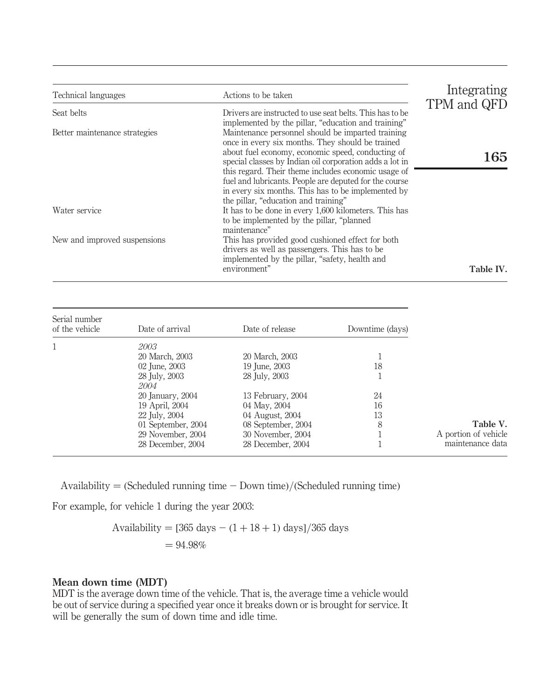| Technical languages           | Actions to be taken                                                                                                                                                 | Integrating |
|-------------------------------|---------------------------------------------------------------------------------------------------------------------------------------------------------------------|-------------|
| Seat belts                    | Drivers are instructed to use seat belts. This has to be<br>implemented by the pillar, "education and training"                                                     | TPM and QFD |
| Better maintenance strategies | Maintenance personnel should be imparted training<br>once in every six months. They should be trained                                                               |             |
|                               | about fuel economy, economic speed, conducting of<br>special classes by Indian oil corporation adds a lot in                                                        | 165         |
|                               | this regard. Their theme includes economic usage of<br>fuel and lubricants. People are deputed for the course<br>in every six months. This has to be implemented by |             |
| Water service                 | the pillar, "education and training"<br>It has to be done in every 1,600 kilometers. This has<br>to be implemented by the pillar, "planned"<br>maintenance"         |             |
| New and improved suspensions  | This has provided good cushioned effect for both<br>drivers as well as passengers. This has to be<br>implemented by the pillar, "safety, health and<br>environment" | Table IV.   |

| Serial number<br>of the vehicle | Date of arrival       | Date of release    | Downtime (days) |                      |
|---------------------------------|-----------------------|--------------------|-----------------|----------------------|
|                                 | 2003                  |                    |                 |                      |
|                                 | 20 March, 2003        | 20 March, 2003     |                 |                      |
|                                 | 02 June, 2003         | 19 June, 2003      | 18              |                      |
|                                 | 28 July, 2003<br>2004 | 28 July, 2003      |                 |                      |
|                                 | 20 January, 2004      | 13 February, 2004  | 24              |                      |
|                                 | 19 April, 2004        | 04 May, 2004       | 16              |                      |
|                                 | 22 July, 2004         | 04 August, 2004    | 13              |                      |
|                                 | 01 September, 2004    | 08 September, 2004 | 8               | Table V.             |
|                                 | 29 November, 2004     | 30 November, 2004  |                 | A portion of vehicle |
|                                 | 28 December, 2004     | 28 December, 2004  |                 | maintenance data     |

Availability  $=$  (Scheduled running time  $-$  Down time)/(Scheduled running time)

For example, for vehicle 1 during the year 2003:

Availability =  $[365 \text{ days} - (1 + 18 + 1) \text{ days}] / 365 \text{ days}$  $= 94.98%$ 

# Mean down time (MDT)

MDT is the average down time of the vehicle. That is, the average time a vehicle would be out of service during a specified year once it breaks down or is brought for service. It will be generally the sum of down time and idle time.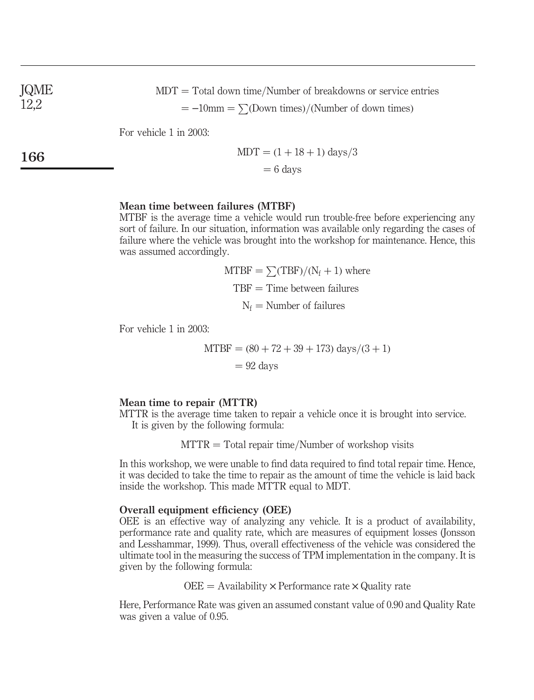| JQME | $MDT = Total down time/Number of breakdowns or service entries$ |
|------|-----------------------------------------------------------------|
| 12,2 | $= -10$ mm = $\sum$ (Down times)/(Number of down times)         |
|      | For vehicle 1 in 2003:                                          |
| 100  | $MDT = (1 + 18 + 1)$ days/3                                     |

Mean time between failures (MTBF)

MTBF is the average time a vehicle would run trouble-free before experiencing any sort of failure. In our situation, information was available only regarding the cases of failure where the vehicle was brought into the workshop for maintenance. Hence, this was assumed accordingly.

 $= 6$  days

 $MTBF = \sum (TBF)/(N_f + 1)$  where  $TBF = Time$  between failures  $N_f$  = Number of failures

For vehicle 1 in 2003:

166

MTBF = 
$$
(80 + 72 + 39 + 173)
$$
 days/ $(3 + 1)$   
= 92 days

#### Mean time to repair (MTTR)

MTTR is the average time taken to repair a vehicle once it is brought into service. It is given by the following formula:

 $MTTR = Total repair time/Number of workshop visits$ 

In this workshop, we were unable to find data required to find total repair time. Hence, it was decided to take the time to repair as the amount of time the vehicle is laid back inside the workshop. This made MTTR equal to MDT.

#### Overall equipment efficiency (OEE)

OEE is an effective way of analyzing any vehicle. It is a product of availability, performance rate and quality rate, which are measures of equipment losses (Jonsson and Lesshammar, 1999). Thus, overall effectiveness of the vehicle was considered the ultimate tool in the measuring the success of TPM implementation in the company. It is given by the following formula:

 $OEE =$  Availability  $\times$  Performance rate  $\times$  Quality rate

Here, Performance Rate was given an assumed constant value of 0.90 and Quality Rate was given a value of 0.95.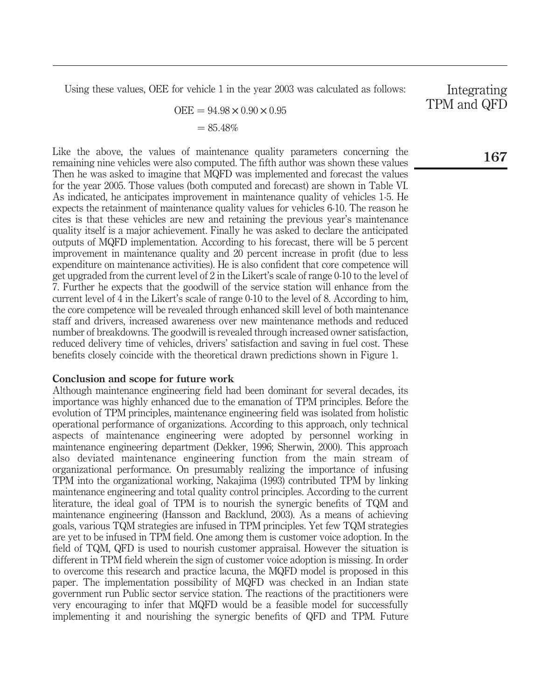Using these values, OEE for vehicle 1 in the year 2003 was calculated as follows:

$$
OEE = 94.98 \times 0.90 \times 0.95
$$
  
= 85.48%

Like the above, the values of maintenance quality parameters concerning the remaining nine vehicles were also computed. The fifth author was shown these values Then he was asked to imagine that MQFD was implemented and forecast the values for the year 2005. Those values (both computed and forecast) are shown in Table VI. As indicated, he anticipates improvement in maintenance quality of vehicles 1-5. He expects the retainment of maintenance quality values for vehicles 6-10. The reason he cites is that these vehicles are new and retaining the previous year's maintenance quality itself is a major achievement. Finally he was asked to declare the anticipated outputs of MQFD implementation. According to his forecast, there will be 5 percent improvement in maintenance quality and 20 percent increase in profit (due to less expenditure on maintenance activities). He is also confident that core competence will get upgraded from the current level of 2 in the Likert's scale of range 0-10 to the level of 7. Further he expects that the goodwill of the service station will enhance from the current level of 4 in the Likert's scale of range 0-10 to the level of 8. According to him, the core competence will be revealed through enhanced skill level of both maintenance staff and drivers, increased awareness over new maintenance methods and reduced number of breakdowns. The goodwill is revealed through increased owner satisfaction, reduced delivery time of vehicles, drivers' satisfaction and saving in fuel cost. These benefits closely coincide with the theoretical drawn predictions shown in Figure 1.

# Conclusion and scope for future work

Although maintenance engineering field had been dominant for several decades, its importance was highly enhanced due to the emanation of TPM principles. Before the evolution of TPM principles, maintenance engineering field was isolated from holistic operational performance of organizations. According to this approach, only technical aspects of maintenance engineering were adopted by personnel working in maintenance engineering department (Dekker, 1996; Sherwin, 2000). This approach also deviated maintenance engineering function from the main stream of organizational performance. On presumably realizing the importance of infusing TPM into the organizational working, Nakajima (1993) contributed TPM by linking maintenance engineering and total quality control principles. According to the current literature, the ideal goal of TPM is to nourish the synergic benefits of TQM and maintenance engineering (Hansson and Backlund, 2003). As a means of achieving goals, various TQM strategies are infused in TPM principles. Yet few TQM strategies are yet to be infused in TPM field. One among them is customer voice adoption. In the field of TQM, QFD is used to nourish customer appraisal. However the situation is different in TPM field wherein the sign of customer voice adoption is missing. In order to overcome this research and practice lacuna, the MQFD model is proposed in this paper. The implementation possibility of MQFD was checked in an Indian state government run Public sector service station. The reactions of the practitioners were very encouraging to infer that MQFD would be a feasible model for successfully implementing it and nourishing the synergic benefits of QFD and TPM. Future

Integrating TPM and QFD

167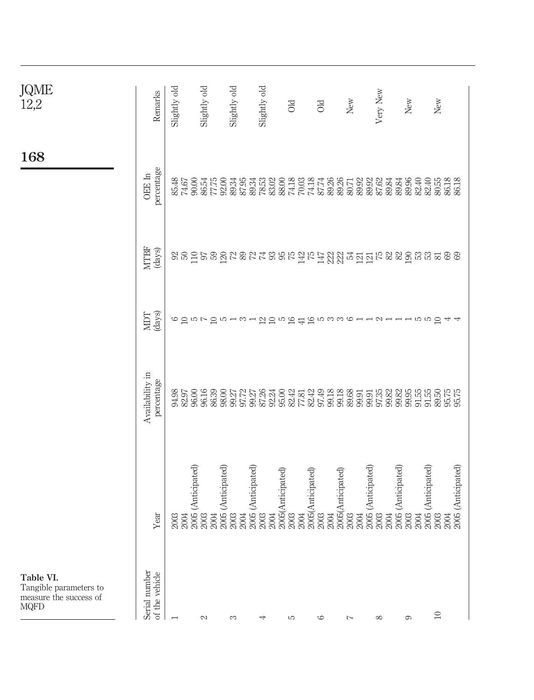| <b>JQME</b><br>12,2                                                          | Remarks                         | Slightly old   |                |                    | Slightly old   |                    | Slightly old |                                                                          |                            | Slightly old |      |                   | Old  |      |                           | <b>Old</b> |                          | New    |      |                            | Very New      |      | New                        |                         |                            | New                |                                                                                                                                                                                                                                                                                           |
|------------------------------------------------------------------------------|---------------------------------|----------------|----------------|--------------------|----------------|--------------------|--------------|--------------------------------------------------------------------------|----------------------------|--------------|------|-------------------|------|------|---------------------------|------------|--------------------------|--------|------|----------------------------|---------------|------|----------------------------|-------------------------|----------------------------|--------------------|-------------------------------------------------------------------------------------------------------------------------------------------------------------------------------------------------------------------------------------------------------------------------------------------|
| 168                                                                          | percentage<br>OEE In            | 85.48          | $74.67$        | 90.00              | 86.54<br>77.75 | 92.00              |              |                                                                          |                            |              |      |                   |      |      |                           |            |                          |        |      |                            |               |      |                            | 89.40<br>89.40<br>89.30 |                            | $80.55$<br>$86.18$ | 86.18                                                                                                                                                                                                                                                                                     |
|                                                                              | MTBF<br>(days)                  |                |                |                    |                |                    |              |                                                                          |                            |              |      |                   |      |      |                           |            |                          |        |      |                            |               |      |                            |                         |                            |                    | $\infty$ 5 $\leq$ 5 6 $\leq$ 7 8 9 $\leq$ 7 8 9 6 $\frac{31}{4}$ 6 $\frac{1}{2}$ $\frac{31}{2}$ $\frac{31}{2}$ 5 $\frac{1}{2}$ 6 $\frac{31}{2}$ 6 $\frac{31}{2}$ 6 $\frac{31}{2}$ 6 $\frac{31}{2}$ 6 $\frac{31}{2}$ 6 $\frac{31}{2}$ 6 $\frac{31}{2}$ 6 $\frac{31}{2}$ 6 $\frac{31}{2}$ 6 |
|                                                                              | (days)<br>IGIN                  |                | $OQD \sim$     |                    |                | $\frac{10}{5}$     |              | $\begin{array}{c}\n -\n -\n \alpha - \beta & \alpha \beta\n \end{array}$ |                            |              |      |                   |      |      |                           |            | $\frac{16}{10}$ to to to | అ      |      |                            | $\mathcal{C}$ |      |                            |                         | տ տ                        | ≘                  |                                                                                                                                                                                                                                                                                           |
|                                                                              | Availability in<br>percentage   | 94.98          | 82.97<br>96.00 |                    | 96.16<br>86.39 | 98.00              |              | 99.27<br>97.72                                                           |                            |              |      |                   |      |      |                           |            |                          |        |      |                            |               |      |                            |                         |                            |                    | ន្ទ្រី ដូច្នេស<br>មិនមន្ទ្រី<br>មិនមន្ទ្រី                                                                                                                                                                                                                                                |
|                                                                              | Year                            | 2003           | 2004           | 2005 (Anticipated) | 2003<br>2004   | 2005 (Anticipated) | 2003         | 2004                                                                     | 2005 (Anticipated)<br>2003 |              | 2004 | 2005(Anticipated) | 2003 | 2004 | 2005(Anticipated)<br>2003 | 2004       | 2005(Anticipated)        | 2003   | 2004 | 2005 (Anticipated)<br>2003 |               | 2004 | 2005 (Anticipated)<br>2003 | 2004                    | 2005 (Anticipated)<br>2003 |                    | 2005 (Anticipated)<br>2004                                                                                                                                                                                                                                                                |
| Table VI.<br>Tangible parameters to<br>measure the success of<br><b>MQFD</b> | Serial number<br>of the vehicle | $\overline{ }$ |                |                    | $\sim$         |                    | S            |                                                                          |                            | 4            |      |                   | 5    |      |                           | $\circ$    |                          | $\sim$ |      |                            | $\infty$      |      | $\infty$                   |                         |                            | $10$               |                                                                                                                                                                                                                                                                                           |

# JQME 12,2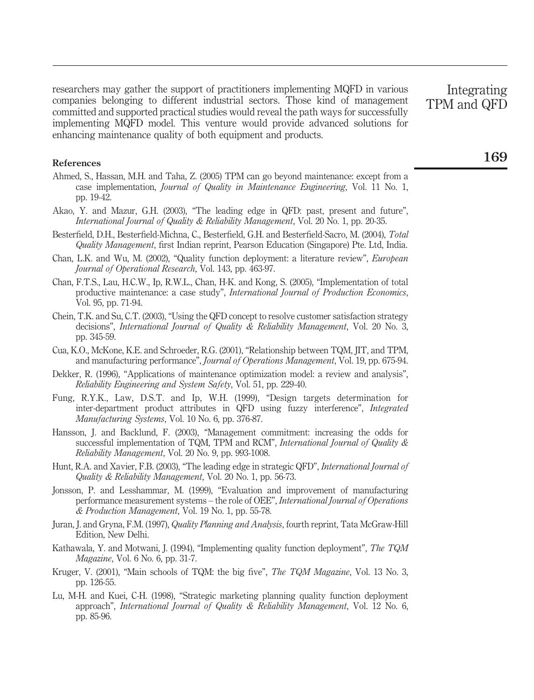researchers may gather the support of practitioners implementing MQFD in various companies belonging to different industrial sectors. Those kind of management committed and supported practical studies would reveal the path ways for successfully implementing MQFD model. This venture would provide advanced solutions for enhancing maintenance quality of both equipment and products.

### References

- Ahmed, S., Hassan, M.H. and Taha, Z. (2005) TPM can go beyond maintenance: except from a case implementation, Journal of Quality in Maintenance Engineering, Vol. 11 No. 1, pp. 19-42.
- Akao, Y. and Mazur, G.H. (2003), "The leading edge in QFD: past, present and future", International Journal of Quality & Reliability Management, Vol. 20 No. 1, pp. 20-35.
- Besterfield, D.H., Besterfield-Michna, C., Besterfield, G.H. and Besterfield-Sacro, M. (2004), Total Quality Management, first Indian reprint, Pearson Education (Singapore) Pte. Ltd, India.
- Chan, L.K. and Wu, M. (2002), "Quality function deployment: a literature review", European Journal of Operational Research, Vol. 143, pp. 463-97.
- Chan, F.T.S., Lau, H.C.W., Ip, R.W.L., Chan, H-K. and Kong, S. (2005), "Implementation of total productive maintenance: a case study", International Journal of Production Economics, Vol. 95, pp. 71-94.
- Chein, T.K. and Su, C.T. (2003), "Using the QFD concept to resolve customer satisfaction strategy decisions", International Journal of Quality & Reliability Management, Vol. 20 No. 3, pp. 345-59.
- Cua, K.O., McKone, K.E. and Schroeder, R.G. (2001), "Relationship between TQM, JIT, and TPM, and manufacturing performance", Journal of Operations Management, Vol. 19, pp. 675-94.
- Dekker, R. (1996), "Applications of maintenance optimization model: a review and analysis", Reliability Engineering and System Safety, Vol. 51, pp. 229-40.
- Fung, R.Y.K., Law, D.S.T. and Ip, W.H. (1999), "Design targets determination for inter-department product attributes in QFD using fuzzy interference", Integrated Manufacturing Systems, Vol. 10 No. 6, pp. 376-87.
- Hansson, J. and Backlund, F. (2003), "Management commitment: increasing the odds for successful implementation of TQM, TPM and RCM", International Journal of Quality & Reliability Management, Vol. 20 No. 9, pp. 993-1008.
- Hunt, R.A. and Xavier, F.B. (2003), "The leading edge in strategic QFD", International Journal of Quality & Reliability Management, Vol. 20 No. 1, pp. 56-73.
- Jonsson, P. and Lesshammar, M. (1999), "Evaluation and improvement of manufacturing performance measurement systems – the role of OEE", International Journal of Operations & Production Management, Vol. 19 No. 1, pp. 55-78.
- Juran, J. and Gryna, F.M. (1997), Quality Planning and Analysis, fourth reprint, Tata McGraw-Hill Edition, New Delhi.
- Kathawala, Y. and Motwani, J. (1994), "Implementing quality function deployment", The TQM Magazine, Vol. 6 No. 6, pp. 31-7.
- Kruger, V. (2001), "Main schools of TQM: the big five", *The TQM Magazine*, Vol. 13 No. 3, pp. 126-55.
- Lu, M-H. and Kuei, C-H. (1998), "Strategic marketing planning quality function deployment approach", International Journal of Quality & Reliability Management, Vol. 12 No. 6, pp. 85-96.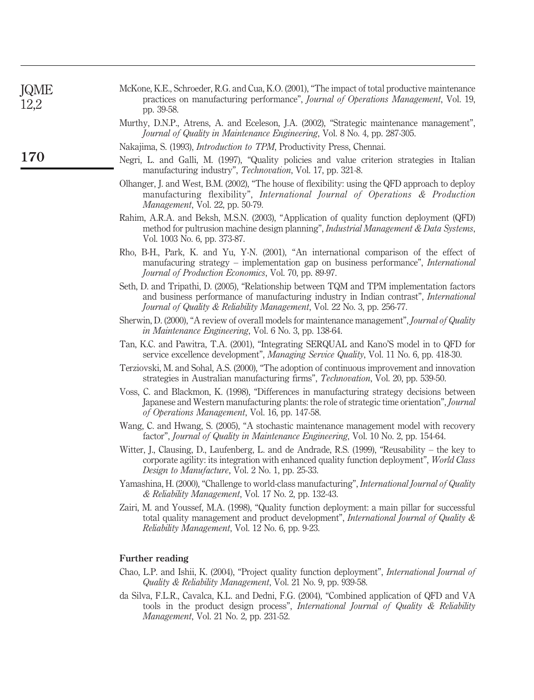| <b>JQME</b><br>12,2 | McKone, K.E., Schroeder, R.G. and Cua, K.O. (2001), "The impact of total productive maintenance<br>practices on manufacturing performance", <i>Journal of Operations Management</i> , Vol. 19,<br>pp. 39-58. |
|---------------------|--------------------------------------------------------------------------------------------------------------------------------------------------------------------------------------------------------------|
|                     | Murthy, D.N.P., Atrens, A. and Eceleson, J.A. (2002), "Strategic maintenance management",                                                                                                                    |

Journal of Quality in Maintenance Engineering, Vol. 8 No. 4, pp. 287-305.

Nakajima, S. (1993), Introduction to TPM, Productivity Press, Chennai.

- Negri, L. and Galli, M. (1997), "Quality policies and value criterion strategies in Italian manufacturing industry", Technovation, Vol. 17, pp. 321-8.
- Olhanger, J. and West, B.M. (2002), "The house of flexibility: using the QFD approach to deploy manufacturing flexibility", International Journal of Operations & Production Management, Vol. 22, pp. 50-79.
- Rahim, A.R.A. and Beksh, M.S.N. (2003), "Application of quality function deployment (QFD) method for pultrusion machine design planning", Industrial Management & Data Systems, Vol. 1003 No. 6, pp. 373-87.
- Rho, B-H., Park, K. and Yu, Y-N. (2001), "An international comparison of the effect of manufacuring strategy – implementation gap on business performance", *International* Journal of Production Economics, Vol. 70, pp. 89-97.
- Seth, D. and Tripathi, D. (2005), "Relationship between TQM and TPM implementation factors and business performance of manufacturing industry in Indian contrast", International Journal of Quality & Reliability Management, Vol. 22 No. 3, pp. 256-77.
- Sherwin, D. (2000), "A review of overall models for maintenance management", Journal of Quality in Maintenance Engineering, Vol. 6 No. 3, pp. 138-64.
- Tan, K.C. and Pawitra, T.A. (2001), "Integrating SERQUAL and Kano'S model in to QFD for service excellence development", Managing Service Quality, Vol. 11 No. 6, pp. 418-30.
- Terziovski, M. and Sohal, A.S. (2000), "The adoption of continuous improvement and innovation strategies in Australian manufacturing firms", Technovation, Vol. 20, pp. 539-50.
- Voss, C. and Blackmon, K. (1998), "Differences in manufacturing strategy decisions between Japanese and Western manufacturing plants: the role of strategic time orientation", Journal of Operations Management, Vol. 16, pp. 147-58.
- Wang, C. and Hwang, S. (2005), "A stochastic maintenance management model with recovery factor", Journal of Quality in Maintenance Engineering, Vol. 10 No. 2, pp. 154-64.
- Witter, J., Clausing, D., Laufenberg, L. and de Andrade, R.S. (1999), "Reusability the key to corporate agility: its integration with enhanced quality function deployment", World Class Design to Manufacture, Vol. 2 No. 1, pp. 25-33.
- Yamashina, H. (2000), "Challenge to world-class manufacturing", International Journal of Quality & Reliability Management, Vol. 17 No. 2, pp. 132-43.
- Zairi, M. and Youssef, M.A. (1998), "Quality function deployment: a main pillar for successful total quality management and product development", International Journal of Quality & Reliability Management, Vol. 12 No. 6, pp. 9-23.

#### Further reading

170

- Chao, L.P. and Ishii, K. (2004), "Project quality function deployment", International Journal of Quality & Reliability Management, Vol. 21 No. 9, pp. 939-58.
- da Silva, F.L.R., Cavalca, K.L. and Dedni, F.G. (2004), "Combined application of QFD and VA tools in the product design process", International Journal of Quality & Reliability Management, Vol. 21 No. 2, pp. 231-52.